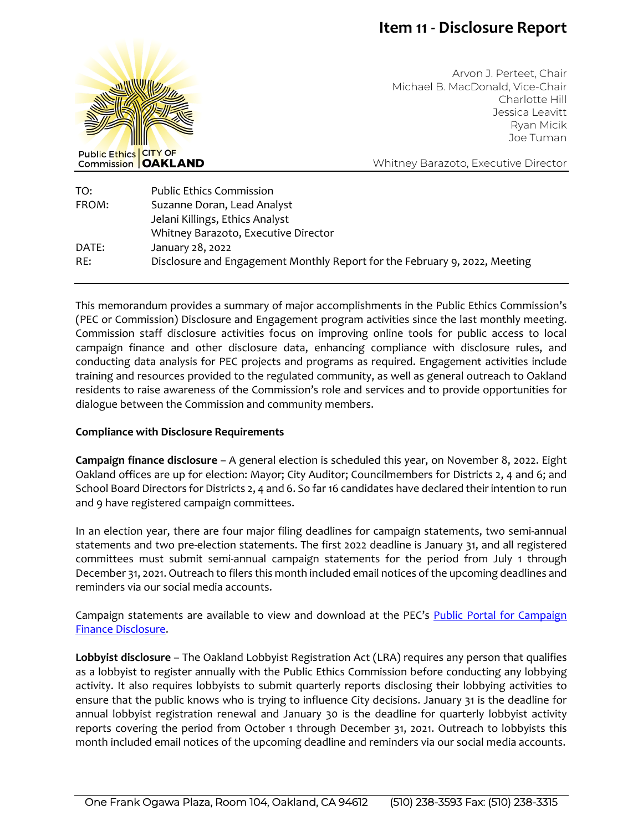# **Item 11 - Disclosure Report**



Arvon J. Perteet, Chair Michael B. MacDonald, Vice-Chair Charlotte Hill Jessica Leavitt Ryan Micik Joe Tuman

Whitney Barazoto, Executive Director

| TO:   | <b>Public Ethics Commission</b>                                            |
|-------|----------------------------------------------------------------------------|
| FROM: | Suzanne Doran, Lead Analyst                                                |
|       | Jelani Killings, Ethics Analyst                                            |
|       | Whitney Barazoto, Executive Director                                       |
| DATE: | January 28, 2022                                                           |
| RE:   | Disclosure and Engagement Monthly Report for the February 9, 2022, Meeting |

This memorandum provides a summary of major accomplishments in the Public Ethics Commission's (PEC or Commission) Disclosure and Engagement program activities since the last monthly meeting. Commission staff disclosure activities focus on improving online tools for public access to local campaign finance and other disclosure data, enhancing compliance with disclosure rules, and conducting data analysis for PEC projects and programs as required. Engagement activities include training and resources provided to the regulated community, as well as general outreach to Oakland residents to raise awareness of the Commission's role and services and to provide opportunities for dialogue between the Commission and community members.

### **Compliance with Disclosure Requirements**

**Campaign finance disclosure** – A general election is scheduled this year, on November 8, 2022. Eight Oakland offices are up for election: Mayor; City Auditor; Councilmembers for Districts 2, 4 and 6; and School Board Directors for Districts 2, 4 and 6. So far 16 candidates have declared their intention to run and 9 have registered campaign committees.

In an election year, there are four major filing deadlines for campaign statements, two semi-annual statements and two pre-election statements. The first 2022 deadline is January 31, and all registered committees must submit semi-annual campaign statements for the period from July 1 through December 31, 2021. Outreach to filers this month included email notices of the upcoming deadlines and reminders via our social media accounts.

Campaign statements are available to view and download at the PEC's Public Portal for Campaign [Finance Disclosure.](https://oaklandca-my.sharepoint.com/personal/sdoran_oaklandca_gov/Documents/Draft%20Memos/2022/Public%20Portal%20for%20Campaign%20Finance%20and%20Lobbyist%20Disclosure)

**Lobbyist disclosure** – The Oakland Lobbyist Registration Act (LRA) requires any person that qualifies as a lobbyist to register annually with the Public Ethics Commission before conducting any lobbying activity. It also requires lobbyists to submit quarterly reports disclosing their lobbying activities to ensure that the public knows who is trying to influence City decisions. January 31 is the deadline for annual lobbyist registration renewal and January 30 is the deadline for quarterly lobbyist activity reports covering the period from October 1 through December 31, 2021. Outreach to lobbyists this month included email notices of the upcoming deadline and reminders via our social media accounts.